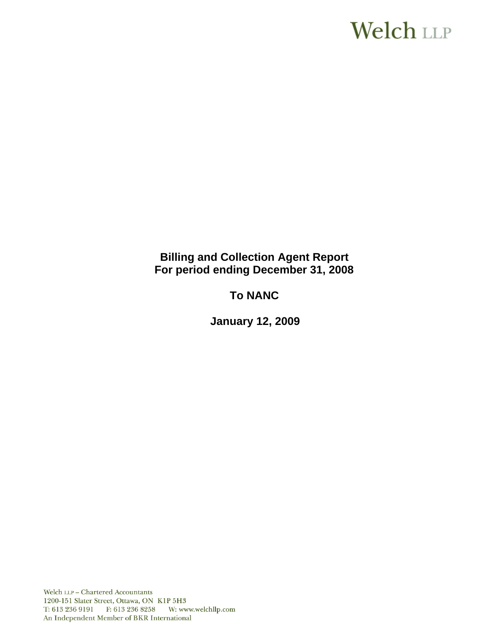# **Welch LLP**

# **Billing and Collection Agent Report For period ending December 31, 2008**

# **To NANC**

 **January 12, 2009**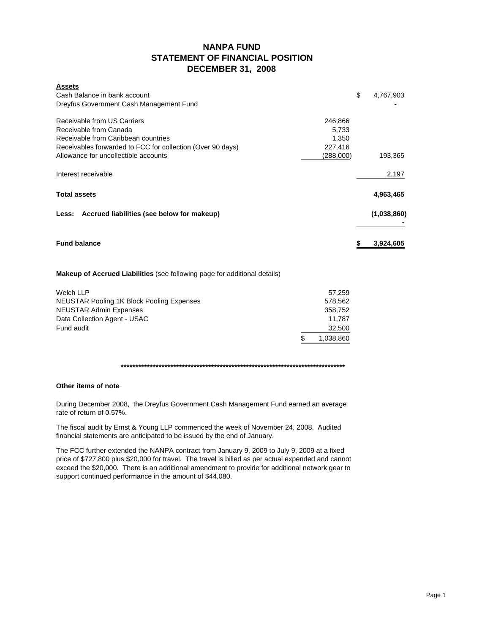## **NANPA FUND STATEMENT OF FINANCIAL POSITION DECEMBER 31, 2008**

| <b>Assets</b>                                                           |                 |
|-------------------------------------------------------------------------|-----------------|
| Cash Balance in bank account<br>Dreyfus Government Cash Management Fund | \$<br>4,767,903 |
|                                                                         |                 |
| Receivable from US Carriers<br>246,866                                  |                 |
| Receivable from Canada<br>5,733                                         |                 |
| Receivable from Caribbean countries<br>1,350                            |                 |
| Receivables forwarded to FCC for collection (Over 90 days)<br>227,416   |                 |
| Allowance for uncollectible accounts<br>(288,000)                       | 193,365         |
| Interest receivable                                                     | 2,197           |
| <b>Total assets</b>                                                     | 4,963,465       |
| Less: Accrued liabilities (see below for makeup)                        | (1,038,860)     |
| <b>Fund balance</b>                                                     | 3,924,605       |
|                                                                         |                 |

#### **Makeup of Accrued Liabilities** (see following page for additional details)

| Welch LLP                                 | 57.259           |
|-------------------------------------------|------------------|
| NEUSTAR Pooling 1K Block Pooling Expenses | 578.562          |
| <b>NEUSTAR Admin Expenses</b>             | 358.752          |
| Data Collection Agent - USAC              | 11.787           |
| Fund audit                                | 32,500           |
|                                           | \$.<br>1,038,860 |

#### **\*\*\*\*\*\*\*\*\*\*\*\*\*\*\*\*\*\*\*\*\*\*\*\*\*\*\*\*\*\*\*\*\*\*\*\*\*\*\*\*\*\*\*\*\*\*\*\*\*\*\*\*\*\*\*\*\*\*\*\*\*\*\*\*\*\*\*\*\*\*\*\*\*\*\*\*\***

#### **Other items of note**

During December 2008, the Dreyfus Government Cash Management Fund earned an average rate of return of 0.57%.

The fiscal audit by Ernst & Young LLP commenced the week of November 24, 2008. Audited financial statements are anticipated to be issued by the end of January.

The FCC further extended the NANPA contract from January 9, 2009 to July 9, 2009 at a fixed price of \$727,800 plus \$20,000 for travel. The travel is billed as per actual expended and cannot exceed the \$20,000. There is an additional amendment to provide for additional network gear to support continued performance in the amount of \$44,080.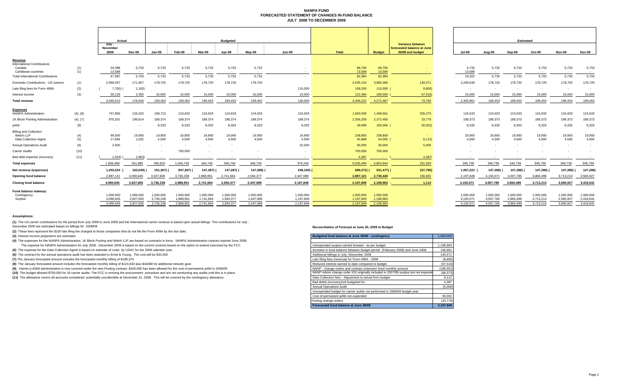#### **NANPA FUND FORECASTED STATEMENT OF CHANGES IN FUND BALANCEJULY 2008 TO DECEMBER 2009**

|                                                                     |            | Actual                              |                                     | <b>Budgeted</b>                     |                                    |                                     |                                     |                                     |                                     |                                     |                                     |                                                                    | <b>Estimated</b>                    |                                     |                                     |                                     |                                     |                                     |  |
|---------------------------------------------------------------------|------------|-------------------------------------|-------------------------------------|-------------------------------------|------------------------------------|-------------------------------------|-------------------------------------|-------------------------------------|-------------------------------------|-------------------------------------|-------------------------------------|--------------------------------------------------------------------|-------------------------------------|-------------------------------------|-------------------------------------|-------------------------------------|-------------------------------------|-------------------------------------|--|
|                                                                     |            | July -<br>November<br>2008          | Dec-08                              | Jan-09                              | Feb-09                             | Mar-09                              | Apr-09                              | May-09                              | <b>Jun-09</b>                       | <b>Total</b>                        | <b>Budget</b>                       | Variance between<br>forecasted balance at June<br>30/08 and budget | <b>Jul-09</b>                       | Aug-09                              | Sep-09                              | Oct-09                              | Nov-09                              | Dec-09                              |  |
| <u>Revenue</u><br><b>International Contributions</b><br>Canada      | (1)        | 34,398                              | 5,733                               | 5,733                               | 5,733                              | 5,733                               | 5,733                               | 5,732                               |                                     | 68,795                              | 68,795                              |                                                                    | 5,733                               | 5,733                               | 5,733                               | 5,733                               | 5,733                               | 5,733                               |  |
| Caribbean countries<br><b>Total International Contributions</b>     | (1)        | 13,589<br>47,987                    | 5,733                               | $\sim$<br>5,733                     | 5,733                              | 5,733                               | 5,733                               | 5,732                               |                                     | 13,589<br>82,384                    | 13,589<br>82,384                    |                                                                    | 13,589<br>19,322                    | 5,733                               | $\sim$<br>5,733                     | 5,733                               | 5,733                               | 5,733                               |  |
| Domestic Contributions - US carriers                                | (1)        | 2,969,597                           | 171,957                             | 178,720                             | 178,720                            | 178,720                             | 178,720                             | 178,720                             |                                     | 4,035,154                           | 3,895,083                           | 140,071                                                            | 2,269,639                           | 178,720                             | 178,720                             | 178,720                             | 178,720                             | 178,720                             |  |
| Late filing fees for Form 499A                                      | (2)        | 7,700) (                            | 1,100                               |                                     |                                    |                                     |                                     |                                     | 115,000                             | 106,200                             | 115,000 (                           | 8,800)                                                             | $\sim$                              | $\overline{\phantom{a}}$            | $\sim$                              | $\sim$                              | $\overline{\phantom{a}}$            |                                     |  |
| Interest income                                                     | (3)        | 30,129                              | 2,355                               | 15,000                              | 15,000                             | 15,000                              | 15,000                              | 15,000                              | 15,000                              | 122,484                             | 180,000                             | 57,516)                                                            | 15,000                              | 15,000                              | 15,000                              | 15,000                              | 15,000                              | 15,000                              |  |
| <b>Total revenue</b>                                                |            | 3.040.013                           | 178.945                             | 199.453                             | 199,453                            | 199.453                             | 199,453                             | 199.452                             | 130,000                             | 4,346,222                           | 4.272.467                           | 73.755                                                             | 2.303.961                           | 199.453                             | 199,453                             | 199.453                             | 199.453                             | 199,453                             |  |
| <b>Expenses</b><br><b>NANPA Administration</b>                      | (4), (8)   | 747,856                             | 124,202                             | 168,713                             | 124,633                            | 124,633                             | 124,633                             | 124,633                             | 124,633                             | 1,663,936                           | 1,408,661                           | 255,275                                                            | 124,633                             | 124,633                             | 124,633                             | 124,633                             | 124,633                             | 124,633                             |  |
| 1K Block Pooling Administration                                     | (4), (7)   | 970,201                             | 199,814                             | 189,374                             | 189,374                            | 189.374                             | 189,374                             | 189.374                             | 189,374                             | 2,306,259                           | 2,272,483                           | 33,776                                                             | 189,373                             | 189,373                             | 189,373                             | 189,373                             | 189,373                             | 189,373                             |  |
| pANI                                                                | (9)        |                                     |                                     | 8,333                               | 8,333                              | 8,333                               | 8,333                               | 8.333                               | 8,333                               | 49,998                              | $100,000$ (                         | 50,002                                                             | 8,333                               | 8,333                               | 8,333                               | 8,333                               | 8,333                               | 8,333                               |  |
| <b>Billing and Collection</b><br>Welch LLP<br>Data Collection Agent | (4)<br>(5) | 99,500<br>17,856                    | 19,900<br>1,032                     | 19,900<br>4,500                     | 19,900<br>4,500                    | 19,900<br>4.500                     | 19,900<br>4,500                     | 19,900<br>4,500                     | 19,900<br>4,500                     | 238,800<br>45,888                   | 238,800<br>54,000 (                 | 8,112)                                                             | 19,900<br>4,500                     | 19,900<br>4,500                     | 19,900<br>4,500                     | 19,900<br>4,500                     | 19,900<br>4.500                     | 19,900<br>4,500                     |  |
| <b>Annual Operations Audit</b>                                      | (6)        | 2.500                               | $\sim$                              |                                     | $\sim$                             |                                     | $\sim$                              |                                     | 32,500                              | 35,000                              | 30,000                              | 5,000                                                              | $\sim$                              |                                     | $\sim$                              |                                     |                                     |                                     |  |
| <b>Carrier Audits</b>                                               | (10)       |                                     |                                     |                                     | 700,000                            |                                     |                                     |                                     |                                     | 700,000                             | 700,000                             |                                                                    |                                     |                                     |                                     |                                     |                                     |                                     |  |
| Bad debt expense (recovery)                                         | (11)       | 1,424)                              | 2,963)                              | $\sim$                              |                                    |                                     |                                     |                                     | $\sim$                              | 4,387                               | <b>Contract</b>                     | 4,387)                                                             |                                     |                                     |                                     | $\overline{\phantom{a}}$            |                                     |                                     |  |
| <b>Total expenses</b>                                               |            | 1,836,489                           | 341,985                             | 390,820                             | 1,046,740                          | 346,740                             | 346,740                             | 346,740                             | 379,240                             | 5,035,494                           | 4,803,944                           | 231,550                                                            | 346,739                             | 346,739                             | 346,739                             | 346,739                             | 346,739                             | 346,739                             |  |
| Net revenue (expenses)                                              |            | 1,203,524                           | 163,040)                            | 191,367)                            | 847,287)                           | 147,287)                            | 147,287)                            | 147,288)                            | 249,240)                            | 689,272) (                          | $531,477$ ) (                       | 157,795)                                                           | 1,957,222                           | 147,286)                            | 147,286)                            | 147,286)                            | 147,286)                            | 147,286                             |  |
| Opening fund balance                                                |            | 2,887,121                           | 4,090,645                           | 3,927,605                           | 3,736,238                          | 2,888,951                           | 2,741,664                           | 2,594,377                           | 2,447,089                           | 2,887,121                           | 2,730,440                           | 156,681                                                            | 2,197,849                           | 4,155,071                           | 4,007,785                           | 3,860,499                           | 3,713,213                           | 3,565,927                           |  |
| <b>Closing fund balance</b>                                         |            | 4,090,645                           | 3,927,605                           | 3,736,238                           | 2,888,951                          | 2,741,664                           | 2,594,377                           | 2,447,089                           | 2,197,849                           | 2,197,849                           | 2,198,963 -                         | 1,114                                                              | 4,155,071                           | 4,007,785                           | 3,860,499                           | 3,713,213                           | 3,565,927                           | 3,418,641                           |  |
| Fund balance makeup:<br>Contingency<br>Surplus                      |            | 1,000,000<br>3,090,645<br>4,090,645 | 1,000,000<br>2,927,605<br>3,927,605 | 1,000,000<br>2,736,238<br>3,736,238 | 1,000,000<br>1,888,951<br>2,888,95 | 1,000,000<br>1,741,664<br>2,741,664 | 1,000,000<br>1,594,377<br>2,594,377 | 1,000,000<br>1,447,089<br>2.447.089 | 1,000,000<br>1.197.849<br>2.197.849 | 1,000,000<br>1,197,849<br>2,197,849 | 1,000,000<br>1,198,963<br>2,198,963 |                                                                    | 1,000,000<br>3,155,071<br>4,155,071 | 1,000,000<br>3,007,785<br>4,007,785 | 1,000,000<br>2,860,499<br>3,860,499 | 1,000,000<br>2,713,213<br>3.713.213 | 1,000,000<br>2,565,927<br>3.565.927 | 1,000,000<br>2,418,641<br>3.418.641 |  |

#### **Assumptions:**

**(1)** The US carrier contributions for the period from July 2008 to June 2009 and the International carrier revenue is based upon actual billings The contributions for July - December 2009 are estimated based on billings for 2008/09

**(2)** These fees represent the \$100 late filing fee charged to those companies that do not file the Form 499A by the due date.

**(3)** Interest income projections are estimates

**(4)** The expenses for the NANPA Administration, 1K Block Pooling and Welch LLP are based on contracts in force. NANPA Administration contract expired June 2008. The expense for NANPA Administration for July 2008 - December 2009 is based on the current contract based on the option to extend exercised by the FCC.

**(5)** The expense for the Data Collection Agent is based on estimate of costs by USAC for the 2008 calendar year.

**(6)** The contract for the annual operations audit has been awarded to Ernst & Young. The cost will be \$32,500

(7) The January forecasted amount includes the forecasted monthly billing of \$189,375

(8) The January forecasted amount includes the forecasted monthly billing of \$124,633 plus \$44080 for additional network gear.

(9) Interim p-ANNI administration is now covered under the new Pooling contract. \$100,000 has been allowed for the cost of permanent pANI in 2008/09.

(10) The budget allowed \$700,000 for 16 carrier audits. The FCC is revising the procurement procedure and are not conducting any audits until this is in place.

(11) The allowance covers all accounts considered potentially uncollectible at December 31, 2008. This will be covered by the contingency allowance.

#### **Reconciliation of Forecast at June 30, 2009 to Budget**

| Budgeted fund balance at June 30/09 - contingency                                  | 1,000,000  |
|------------------------------------------------------------------------------------|------------|
|                                                                                    |            |
| Unexpended surplus carried forward - as per budget                                 | 1,198,963  |
| Increase in fund balance between budget period (February 2008) and June 2008       | 156,681    |
| Additional billings in July -December 2008                                         | 140,071    |
| Late filing fees (reversal) for Form 499A - 2008                                   | (8,800)    |
| Reduced interest earned to date compared to budget                                 | (57, 516)  |
| NANP - change orders and contract extension fixed monthly amount                   | (186, 902) |
| NANP Admin change order #15 originally included in 2007/08 surplus but not expende | (68, 373)  |
| Data Collection fees - Adjustment to actual from budget                            | 8,112      |
| Bad debts (recovery) not budgeted for                                              | 4,387      |
| <b>Annual Operations Audit</b>                                                     | (5,000)    |
| Unexpended budget for carrier audits not performed in 2008/09 budget year          |            |
| Cost of permanent pANI not expended                                                | 50,002     |
| Pooling change orders                                                              | (33, 776)  |
| Forecasted fund balance at June 30/09                                              | 2.197.849  |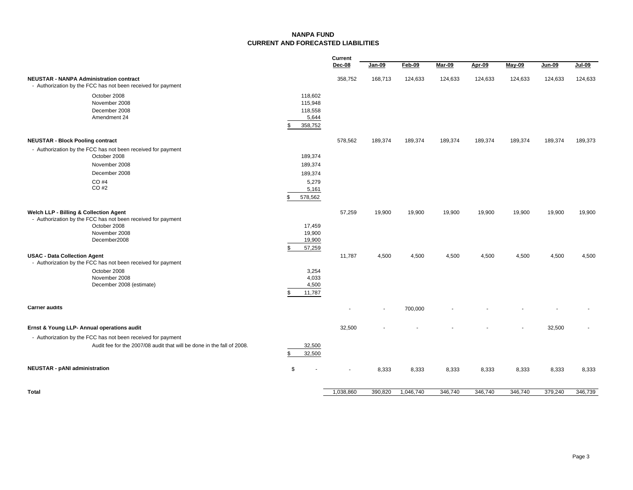#### **NANPA FUNDCURRENT AND FORECASTED LIABILITIES**

|                                                                                                                                                                                      |                                                            | Current                  |                |           |         |         |         |               |         |
|--------------------------------------------------------------------------------------------------------------------------------------------------------------------------------------|------------------------------------------------------------|--------------------------|----------------|-----------|---------|---------|---------|---------------|---------|
|                                                                                                                                                                                      |                                                            | Dec-08                   | Jan-09         | Feb-09    | Mar-09  | Apr-09  | May-09  | <b>Jun-09</b> | Jul-09  |
| <b>NEUSTAR - NANPA Administration contract</b><br>- Authorization by the FCC has not been received for payment                                                                       |                                                            | 358,752                  | 168,713        | 124,633   | 124,633 | 124,633 | 124,633 | 124,633       | 124,633 |
| October 2008<br>November 2008<br>December 2008<br>Amendment 24                                                                                                                       | 118,602<br>115,948<br>118,558<br>5,644<br>358,752<br>\$    |                          |                |           |         |         |         |               |         |
| <b>NEUSTAR - Block Pooling contract</b>                                                                                                                                              |                                                            | 578,562                  | 189,374        | 189,374   | 189,374 | 189,374 | 189,374 | 189,374       | 189,373 |
| - Authorization by the FCC has not been received for payment<br>October 2008<br>November 2008<br>December 2008<br>CO #4<br>CO #2                                                     | 189,374<br>189,374<br>189,374<br>5,279<br>5,161<br>578,562 |                          |                |           |         |         |         |               |         |
| Welch LLP - Billing & Collection Agent<br>- Authorization by the FCC has not been received for payment<br>October 2008<br>November 2008<br>December2008                              | 17,459<br>19,900<br>19,900<br>57,259<br>\$                 | 57,259                   | 19,900         | 19,900    | 19,900  | 19,900  | 19,900  | 19,900        | 19,900  |
| <b>USAC - Data Collection Agent</b><br>- Authorization by the FCC has not been received for payment<br>October 2008<br>November 2008<br>December 2008 (estimate)                     | 3,254<br>4,033<br>4,500<br>11,787<br>\$                    | 11,787                   | 4,500          | 4,500     | 4,500   | 4,500   | 4,500   | 4,500         | 4,500   |
| <b>Carrier audits</b>                                                                                                                                                                |                                                            | $\blacksquare$           | $\blacksquare$ | 700,000   |         |         |         |               |         |
| Ernst & Young LLP- Annual operations audit<br>- Authorization by the FCC has not been received for payment<br>Audit fee for the 2007/08 audit that will be done in the fall of 2008. | 32,500<br>32,500<br>S                                      | 32,500                   |                |           |         |         |         | 32,500        |         |
| <b>NEUSTAR - pANI administration</b>                                                                                                                                                 | \$                                                         | $\overline{\phantom{a}}$ | 8,333          | 8,333     | 8,333   | 8,333   | 8,333   | 8,333         | 8,333   |
| Total                                                                                                                                                                                |                                                            | 1,038,860                | 390,820        | 1,046,740 | 346,740 | 346,740 | 346,740 | 379,240       | 346,739 |